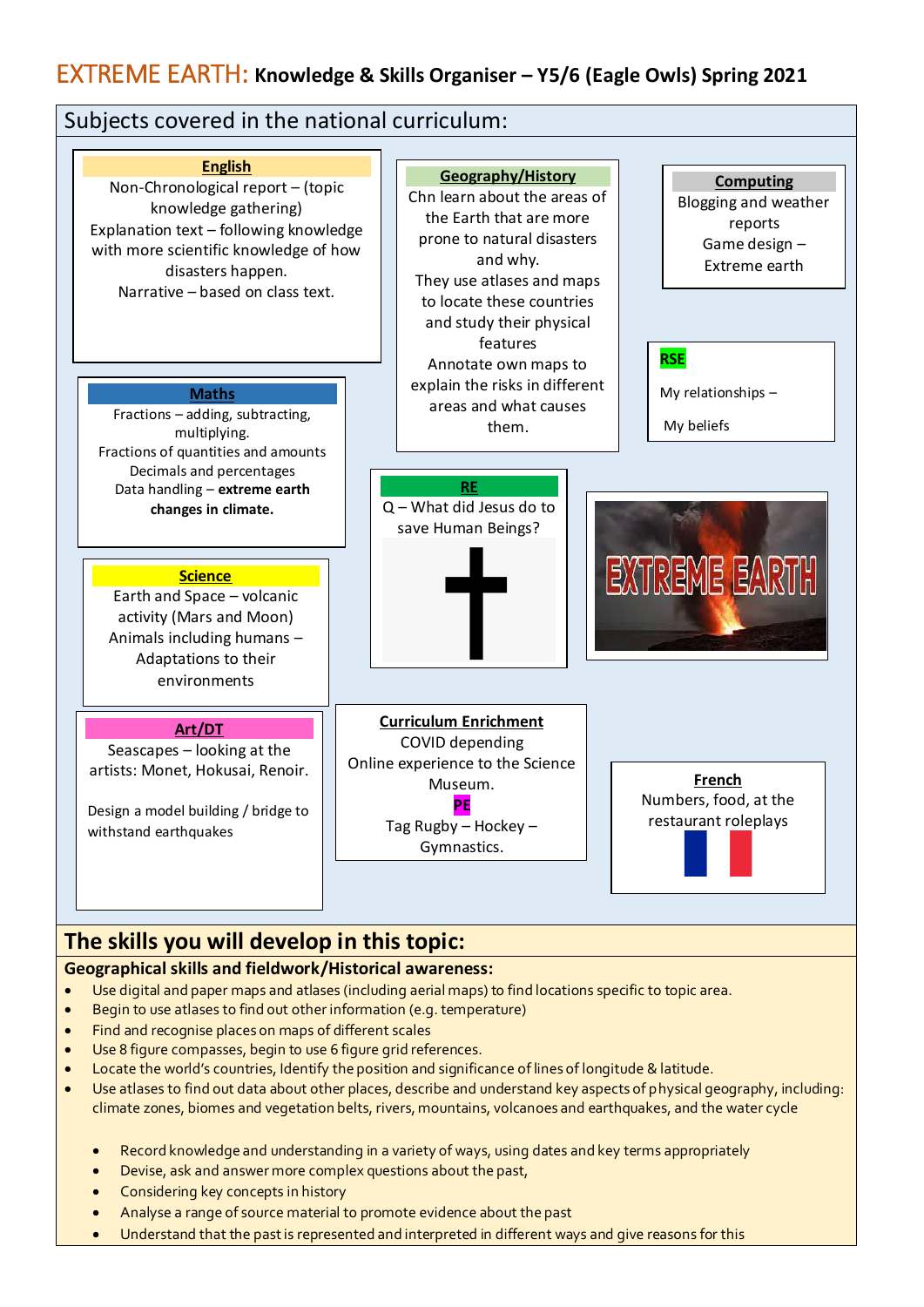# EXTREME EARTH: **Knowledge & Skills Organiser – Y5/6 (Eagle Owls) Spring 2021**



## **Geographical skills and fieldwork/Historical awareness:**

- Use digital and paper maps and atlases (including aerial maps) to find locations specific to topic area.
- Begin to use atlases to find out other information (e.g. temperature)
- Find and recognise places on maps of different scales
- Use 8 figure compasses, begin to use 6 figure grid references.
- Locate the world's countries, Identify the position and significance of lines of longitude & latitude.
- Use atlases to find out data about other places, describe and understand key aspects of physical geography, including: climate zones, biomes and vegetation belts, rivers, mountains, volcanoes and earthquakes, and the water cycle
	- Record knowledge and understanding in a variety of ways, using dates and key terms appropriately
	- Devise, ask and answer more complex questions about the past,
	- Considering key concepts in history
	- Analyse a range of source material to promote evidence about the past
	- Understand that the past is represented and interpreted in different ways and give reasons for this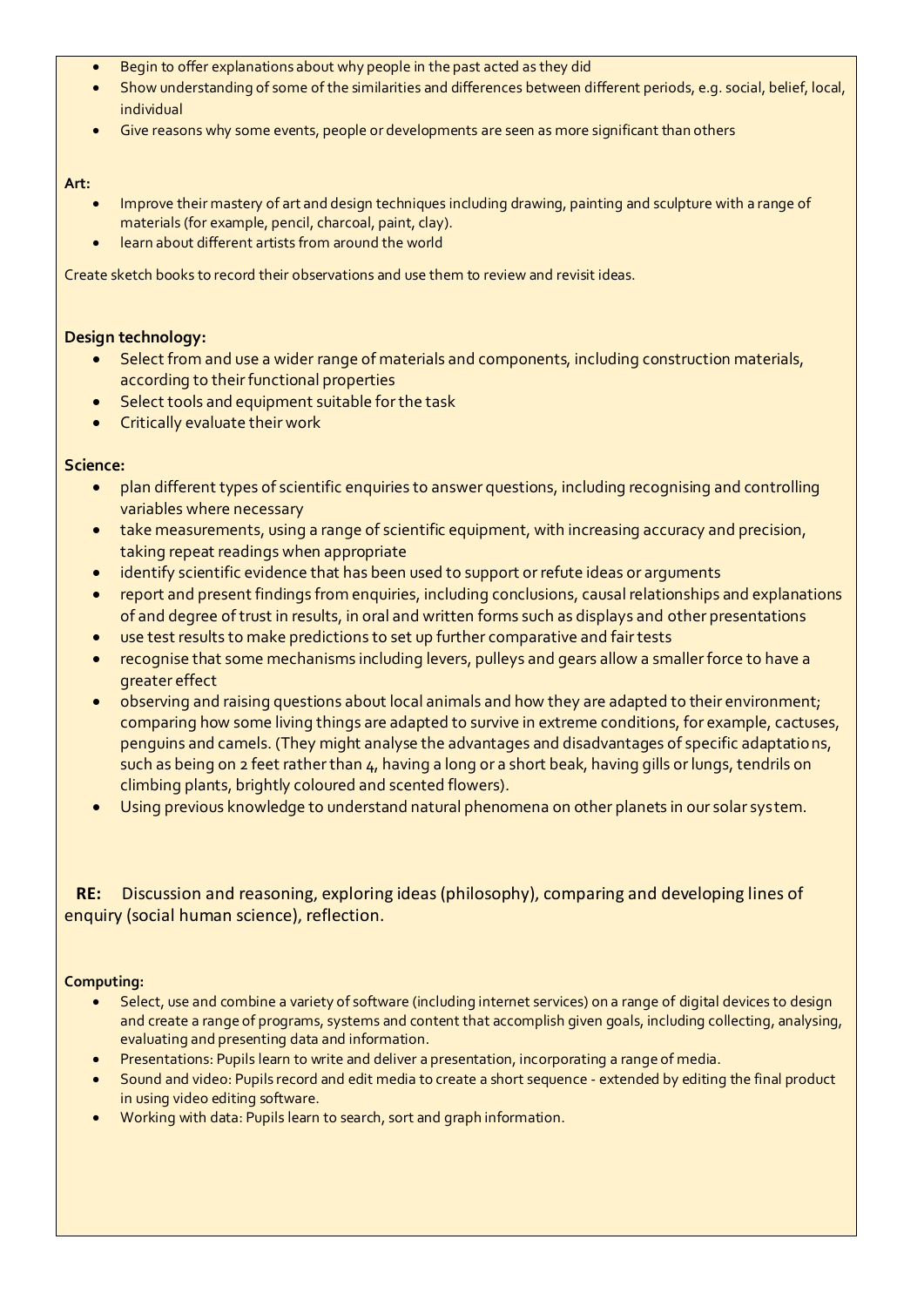- Begin to offer explanations about why people in the past acted as they did
- Show understanding of some of the similarities and differences between different periods, e.g. social, belief, local, individual
- Give reasons why some events, people or developments are seen as more significant than others

#### **Art:**

- Improve their mastery of art and design techniques including drawing, painting and sculpture with a range of materials (for example, pencil, charcoal, paint, clay).
- learn about different artists from around the world

Create sketch books to record their observations and use them to review and revisit ideas.

### **Design technology:**

- Select from and use a wider range of materials and components, including construction materials, according to their functional properties
- Select tools and equipment suitable for the task
- **•** Critically evaluate their work

### **Science:**

- plan different types of scientific enquiries to answer questions, including recognising and controlling variables where necessary
- take measurements, using a range of scientific equipment, with increasing accuracy and precision, taking repeat readings when appropriate
- identify scientific evidence that has been used to support or refute ideas or arguments
- report and present findings from enquiries, including conclusions, causal relationships and explanations of and degree of trust in results, in oral and written forms such as displays and other presentations
- use test results to make predictions to set up further comparative and fair tests
- recognise that some mechanisms including levers, pulleys and gears allow a smaller force to have a greater effect
- observing and raising questions about local animals and how they are adapted to their environment; comparing how some living things are adapted to survive in extreme conditions, for example, cactuses, penguins and camels. (They might analyse the advantages and disadvantages of specific adaptations, such as being on 2 feet rather than 4, having a long or a short beak, having gills or lungs, tendrils on climbing plants, brightly coloured and scented flowers).
- Using previous knowledge to understand natural phenomena on other planets in our solar system.

## **RE:** Discussion and reasoning, exploring ideas (philosophy), comparing and developing lines of enquiry (social human science), reflection.

#### **Computing:**

- Select, use and combine a variety of software (including internet services) on a range of digital devices to design and create a range of programs, systems and content that accomplish given goals, including collecting, analysing, evaluating and presenting data and information.
- Presentations: Pupils learn to write and deliver a presentation, incorporating a range of media.
- Sound and video: Pupils record and edit media to create a short sequence extended by editing the final product in using video editing software.
- Working with data: Pupils learn to search, sort and graph information.